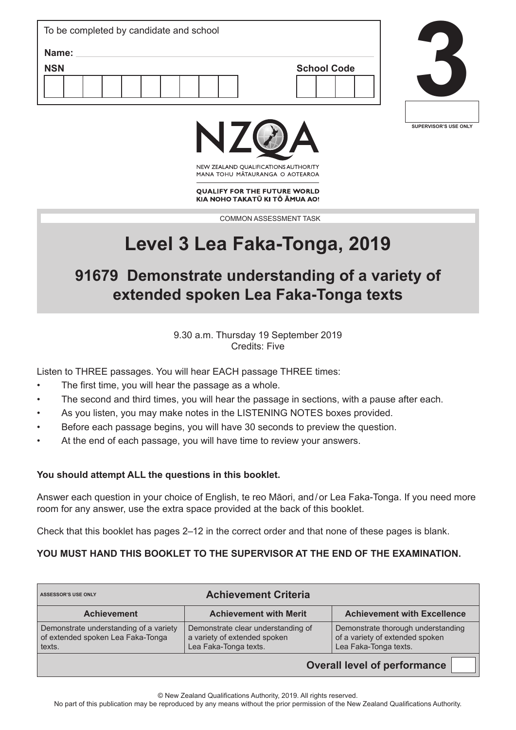| To be completed by candidate and school |                    |  |  |  |  |
|-----------------------------------------|--------------------|--|--|--|--|
| Name:                                   |                    |  |  |  |  |
| <b>NSN</b>                              | <b>School Code</b> |  |  |  |  |
|                                         |                    |  |  |  |  |





NEW ZEALAND OUALIFICATIONS AUTHORITY MANA TOHU MATAURANGA O AOTEAROA

**OUALIFY FOR THE FUTURE WORLD** KIA NOHO TAKATŪ KI TŌ ĀMUA AO!

COMMON ASSESSMENT TASK

# **Level 3 Lea Faka-Tonga, 2019**

## **91679 Demonstrate understanding of a variety of extended spoken Lea Faka-Tonga texts**

9.30 a.m. Thursday 19 September 2019 Credits: Five

Listen to THREE passages. You will hear EACH passage THREE times:

- The first time, you will hear the passage as a whole.
- The second and third times, you will hear the passage in sections, with a pause after each.
- As you listen, you may make notes in the LISTENING NOTES boxes provided.
- Before each passage begins, you will have 30 seconds to preview the question.
- At the end of each passage, you will have time to review your answers.

### **You should attempt ALL the questions in this booklet.**

Answer each question in your choice of English, te reo Māori, and/or Lea Faka-Tonga. If you need more room for any answer, use the extra space provided at the back of this booklet.

Check that this booklet has pages 2–12 in the correct order and that none of these pages is blank.

### **YOU MUST HAND THIS BOOKLET TO THE SUPERVISOR AT THE END OF THE EXAMINATION.**

| <b>Achievement Criteria</b><br><b>ASSESSOR'S USE ONLY</b>                             |                                                                                             |                                                                                                |  |  |
|---------------------------------------------------------------------------------------|---------------------------------------------------------------------------------------------|------------------------------------------------------------------------------------------------|--|--|
| <b>Achievement</b>                                                                    | <b>Achievement with Merit</b>                                                               | <b>Achievement with Excellence</b>                                                             |  |  |
| Demonstrate understanding of a variety<br>of extended spoken Lea Faka-Tonga<br>texts. | Demonstrate clear understanding of<br>a variety of extended spoken<br>Lea Faka-Tonga texts. | Demonstrate thorough understanding<br>of a variety of extended spoken<br>Lea Faka-Tonga texts. |  |  |
|                                                                                       |                                                                                             | Overall layed of porformance                                                                   |  |  |

**Overall level of performance**

No part of this publication may be reproduced by any means without the prior permission of the New Zealand Qualifications Authority.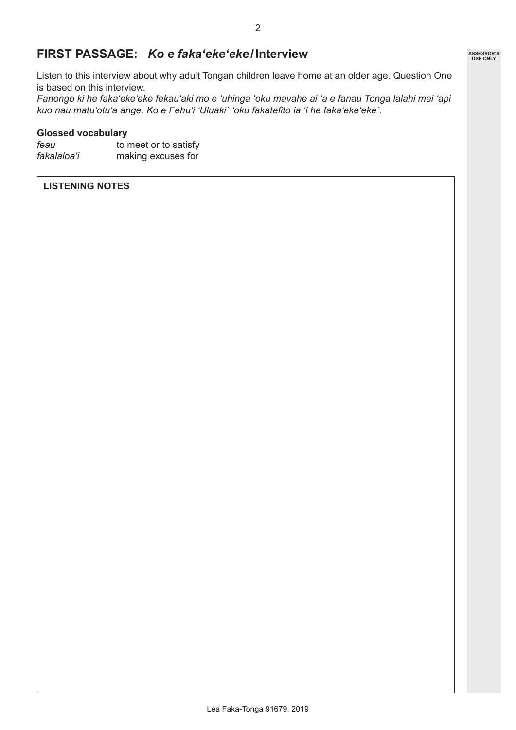### **FIRST PASSAGE:** *Ko e faka'eke'eke***/Interview**

Listen to this interview about why adult Tongan children leave home at an older age. Question One is based on this interview.

*Fanongo ki he faka'eke'eke fekau'aki mo e 'uhinga 'oku mavahe ai 'a e fanau Tonga lalahi mei 'api kuo nau matu'otu'a ange. Ko e Fehu'i 'Uluakiˊ 'oku fakatefito ia 'i he faka'eke'ekeˊ.*

#### **Glossed vocabulary**

| feau        | to meet or to satisfy |  |  |  |
|-------------|-----------------------|--|--|--|
| fakalaloa'i | making excuses for    |  |  |  |

### **LISTENING NOTES**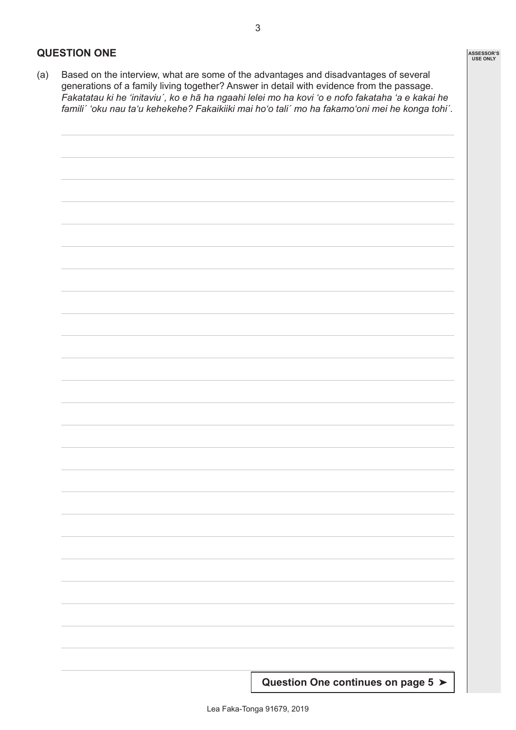### **QUESTION ONE**

(a) Based on the interview, what are some of the advantages and disadvantages of several generations of a family living together? Answer in detail with evidence from the passage. *Fakatatau ki he 'initaviuˊ, ko e hā ha ngaahi lelei mo ha kovi 'o e nofo fakataha 'a e kakai he familiˊ 'oku nau ta'u kehekehe? Fakaikiiki mai hoʻo taliˊ mo ha fakamoʻoni mei he konga tohiˊ.*



**ASSESSOR'S USE ONLY**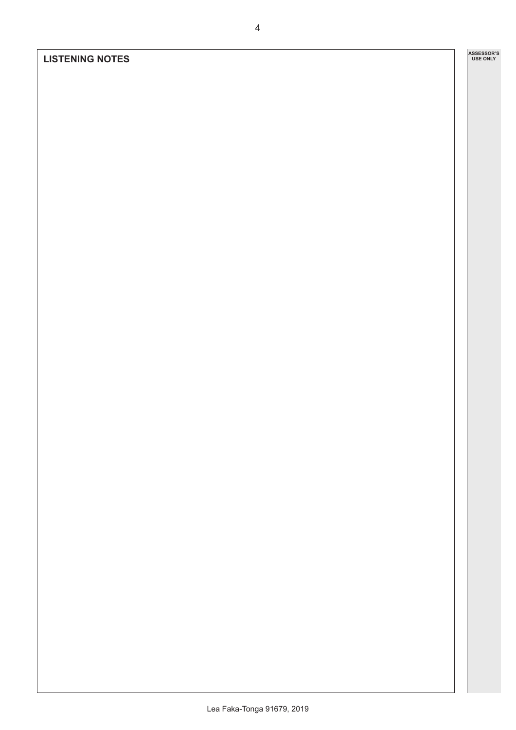### **LISTENING NOTES**

**ASSESSOR'S USE ONLY**

Lea Faka-Tonga 91679, 2019

4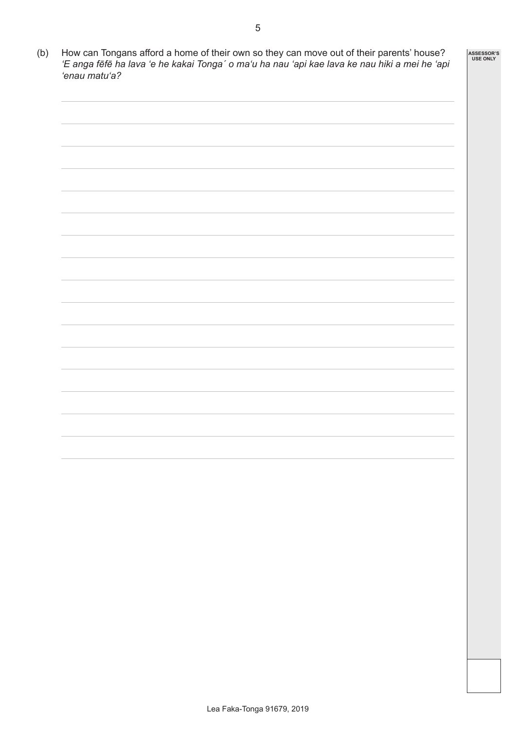| 'enau matu'a? |  | 'E anga fēfē ha lava 'e he kakai Tonga' o ma'u ha nau 'api kae lava ke nau hiki a mei he 'api |
|---------------|--|-----------------------------------------------------------------------------------------------|
|               |  |                                                                                               |
|               |  |                                                                                               |
|               |  |                                                                                               |
|               |  |                                                                                               |
|               |  |                                                                                               |
|               |  |                                                                                               |
|               |  |                                                                                               |
|               |  |                                                                                               |
|               |  |                                                                                               |
|               |  |                                                                                               |
|               |  |                                                                                               |
|               |  |                                                                                               |
|               |  |                                                                                               |
|               |  |                                                                                               |
|               |  |                                                                                               |
|               |  |                                                                                               |
|               |  |                                                                                               |
|               |  |                                                                                               |
|               |  |                                                                                               |
|               |  |                                                                                               |
|               |  |                                                                                               |
|               |  |                                                                                               |
|               |  |                                                                                               |
|               |  |                                                                                               |
|               |  |                                                                                               |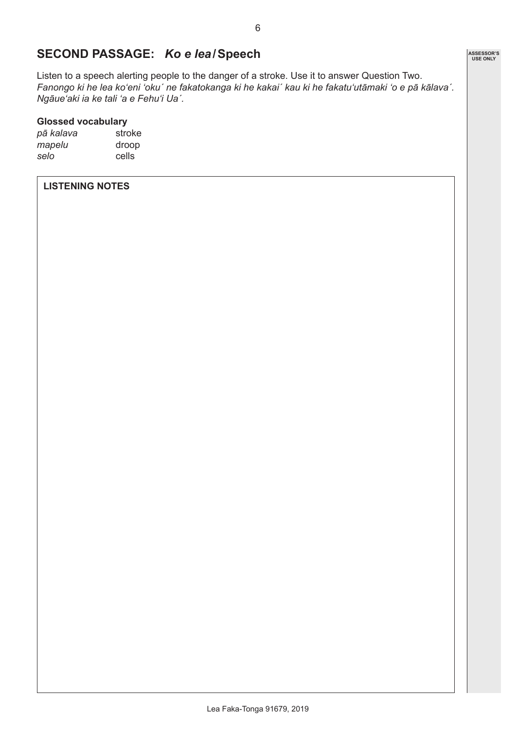### **SECOND PASSAGE:** *Ko e lea***/Speech**

Listen to a speech alerting people to the danger of a stroke. Use it to answer Question Two. *Fanongo ki he lea ko'eni 'okuˊ ne fakatokanga ki he kakaiˊ kau ki he fakatu'utāmaki 'o e pā kālavaˊ. Ngāue'aki ia ke tali 'a e Fehu'i Uaˊ.*

#### **Glossed vocabulary**

*pā kalava* stroke *mapelu* droop *selo* cells

### **LISTENING NOTES**

**ASSESSOR'S USE ONLY**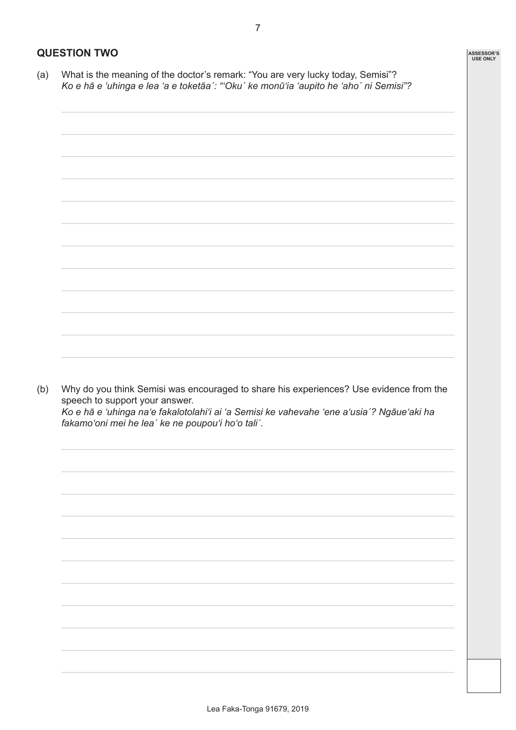### **QUESTION TWO**

(a) What is the meaning of the doctor's remark: "You are very lucky today, Semisi"? *Ko e hā e 'uhinga e lea 'a e toketāaˊ: "'Okuˊ ke monū'ia 'aupito he 'ahoˊ ni Semisi"?*

| Ko e hā e 'uhinga na'e fakalotolahi'i ai 'a Semisi ke vahevahe 'ene a'usia'? Ngāue'aki ha<br>fakamo'oni mei he lea' ke ne poupou'i ho'o tali'. |
|------------------------------------------------------------------------------------------------------------------------------------------------|
|                                                                                                                                                |
|                                                                                                                                                |
|                                                                                                                                                |
|                                                                                                                                                |
|                                                                                                                                                |
|                                                                                                                                                |
|                                                                                                                                                |
|                                                                                                                                                |
|                                                                                                                                                |
| Why do you think Semisi was encouraged to share his experiences? Use evidence from the                                                         |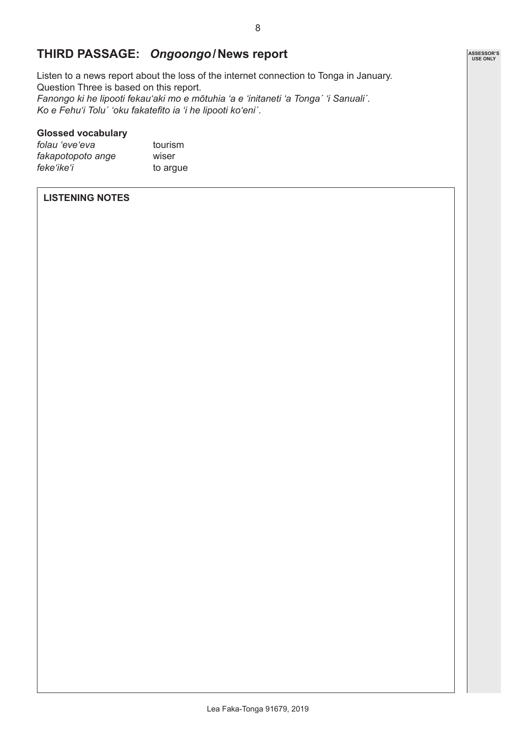### **THIRD PASSAGE:** *Ongoongo***/News report**

Listen to a news report about the loss of the internet connection to Tonga in January. Question Three is based on this report. *Fanongo ki he lipooti fekauʻaki mo e mōtuhia 'a e 'initaneti 'a Tongaˊ 'i Sanualiˊ. Ko e Fehuʻi Toluˊ 'oku fakatefito ia 'i he lipooti koʻeniˊ*.

### **Glossed vocabulary**

*folau 'eve'eva* tourism *fakapotopoto ange* wiser<br>*feke'ike'i* to ard

to argue

### **LISTENING NOTES**

**ASSESSOR'S USE ONLY**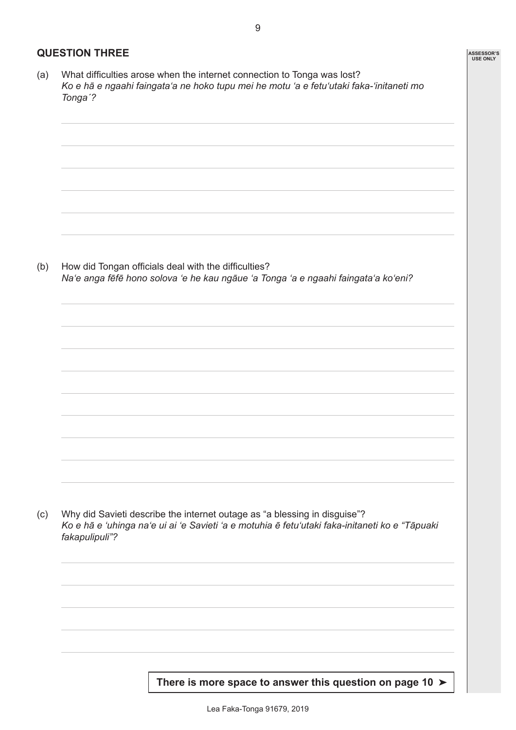### **QUESTION THREE**

(a) What difficulties arose when the internet connection to Tonga was lost? *Ko e hā e ngaahi faingata'a ne hoko tupu mei he motu 'a e fetu'utaki faka-'initaneti mo Tongaˊ?*

(b) How did Tongan officials deal with the difficulties? *Na'e anga fēfē hono solova 'e he kau ngāue 'a Tonga 'a e ngaahi faingata'a ko'eni?*

(c) Why did Savieti describe the internet outage as "a blessing in disguise"? *Ko e hā e 'uhinga naʻe ui ai 'e Savieti 'a e motuhia ē fetu'utaki faka-initaneti ko e "Tāpuaki fakapulipuli"?*

**There is more space to answer this question on page 10** ➤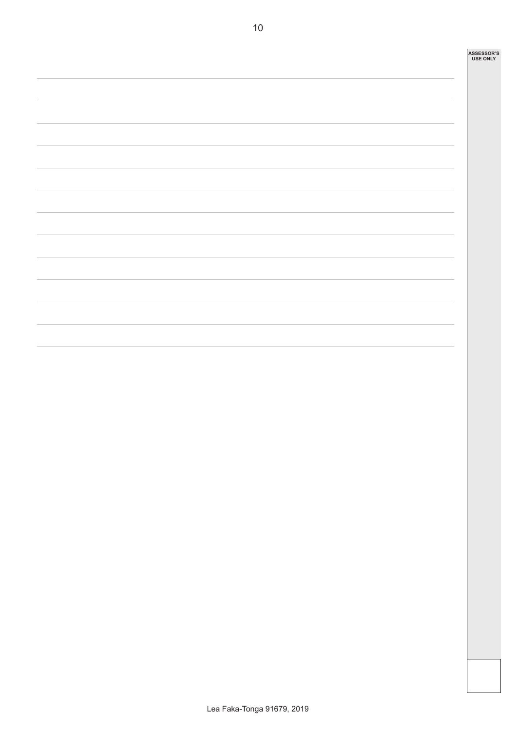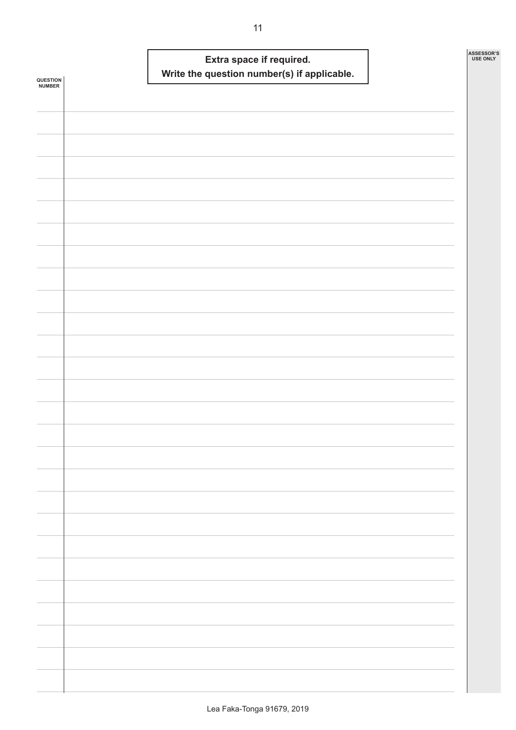| <b>QUESTION<br/>NUMBER</b> |  | Write the question number(s) if applicable. | Extra space if required. |  | ASSESSOR'S<br><b>USE ONLY</b> |  |
|----------------------------|--|---------------------------------------------|--------------------------|--|-------------------------------|--|
|                            |  |                                             |                          |  |                               |  |
|                            |  |                                             |                          |  |                               |  |
|                            |  |                                             |                          |  |                               |  |
|                            |  |                                             |                          |  |                               |  |
|                            |  |                                             |                          |  |                               |  |
|                            |  |                                             |                          |  |                               |  |
|                            |  |                                             |                          |  |                               |  |
|                            |  |                                             |                          |  |                               |  |
|                            |  |                                             |                          |  |                               |  |
|                            |  |                                             |                          |  |                               |  |
|                            |  |                                             |                          |  |                               |  |
|                            |  |                                             |                          |  |                               |  |
|                            |  |                                             |                          |  |                               |  |
|                            |  |                                             |                          |  |                               |  |
|                            |  |                                             |                          |  |                               |  |
|                            |  |                                             |                          |  |                               |  |
|                            |  |                                             |                          |  |                               |  |
|                            |  |                                             |                          |  |                               |  |
|                            |  |                                             |                          |  |                               |  |
|                            |  |                                             |                          |  |                               |  |
|                            |  |                                             |                          |  |                               |  |
|                            |  |                                             |                          |  |                               |  |
|                            |  |                                             |                          |  |                               |  |
|                            |  |                                             |                          |  |                               |  |
|                            |  |                                             |                          |  |                               |  |